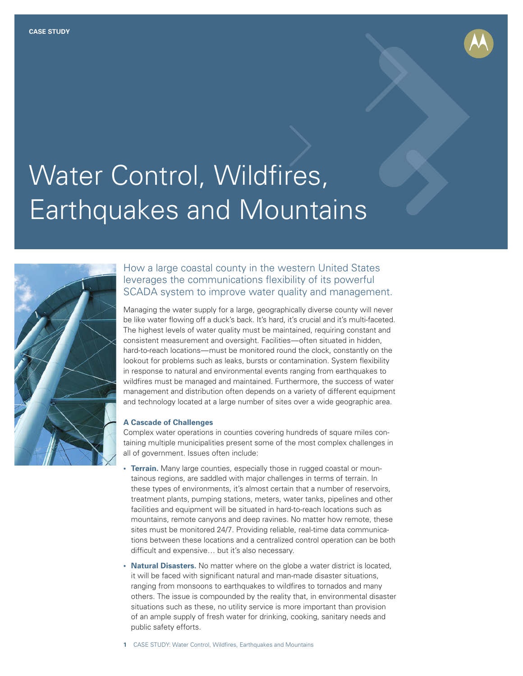

# Water Control, Wildfires, Earthquakes and Mountains



### How a large coastal county in the western United States leverages the communications flexibility of its powerful SCADA system to improve water quality and management.

Managing the water supply for a large, geographically diverse county will never be like water flowing off a duck's back. It's hard, it's crucial and it's multi-faceted. The highest levels of water quality must be maintained, requiring constant and consistent measurement and oversight. Facilities—often situated in hidden, hard-to-reach locations—must be monitored round the clock, constantly on the lookout for problems such as leaks, bursts or contamination. System flexibility in response to natural and environmental events ranging from earthquakes to wildfires must be managed and maintained. Furthermore, the success of water management and distribution often depends on a variety of different equipment and technology located at a large number of sites over a wide geographic area.

#### **A Cascade of Challenges**

Complex water operations in counties covering hundreds of square miles containing multiple municipalities present some of the most complex challenges in all of government. Issues often include:

- **Terrain.** Many large counties, especially those in rugged coastal or mountainous regions, are saddled with major challenges in terms of terrain. In these types of environments, it's almost certain that a number of reservoirs, treatment plants, pumping stations, meters, water tanks, pipelines and other facilities and equipment will be situated in hard-to-reach locations such as mountains, remote canyons and deep ravines. No matter how remote, these sites must be monitored 24/7. Providing reliable, real-time data communications between these locations and a centralized control operation can be both difficult and expensive… but it's also necessary.
- **• Natural Disasters.** No matter where on the globe a water district is located, it will be faced with significant natural and man-made disaster situations, ranging from monsoons to earthquakes to wildfires to tornados and many others. The issue is compounded by the reality that, in environmental disaster situations such as these, no utility service is more important than provision of an ample supply of fresh water for drinking, cooking, sanitary needs and public safety efforts.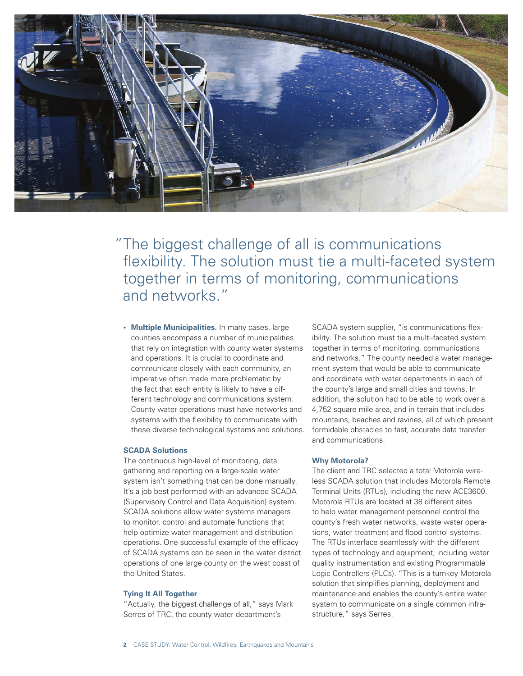

"The biggest challenge of all is communications flexibility. The solution must tie a multi-faceted system together in terms of monitoring, communications and networks."

**• Multiple Municipalities.** In many cases, large counties encompass a number of municipalities that rely on integration with county water systems and operations. It is crucial to coordinate and communicate closely with each community, an imperative often made more problematic by the fact that each entity is likely to have a different technology and communications system. County water operations must have networks and systems with the flexibility to communicate with these diverse technological systems and solutions.

#### **SCADA Solutions**

The continuous high-level of monitoring, data gathering and reporting on a large-scale water system isn't something that can be done manually. It's a job best performed with an advanced SCADA (Supervisory Control and Data Acquisition) system. SCADA solutions allow water systems managers to monitor, control and automate functions that help optimize water management and distribution operations. One successful example of the efficacy of SCADA systems can be seen in the water district operations of one large county on the west coast of the United States.

#### **Tying It All Together**

"Actually, the biggest challenge of all," says Mark Serres of TRC, the county water department's

SCADA system supplier, "is communications flexibility. The solution must tie a multi-faceted system together in terms of monitoring, communications and networks." The county needed a water management system that would be able to communicate and coordinate with water departments in each of the county's large and small cities and towns. In addition, the solution had to be able to work over a 4,752 square mile area, and in terrain that includes mountains, beaches and ravines, all of which present formidable obstacles to fast, accurate data transfer and communications.

#### **Why Motorola?**

The client and TRC selected a total Motorola wireless SCADA solution that includes Motorola Remote Terminal Units (RTUs), including the new ACE3600. Motorola RTUs are located at 38 different sites to help water management personnel control the county's fresh water networks, waste water operations, water treatment and flood control systems. The RTUs interface seamlessly with the different types of technology and equipment, including water quality instrumentation and existing Programmable Logic Controllers (PLCs). "This is a turnkey Motorola solution that simplifies planning, deployment and maintenance and enables the county's entire water system to communicate on a single common infrastructure," says Serres.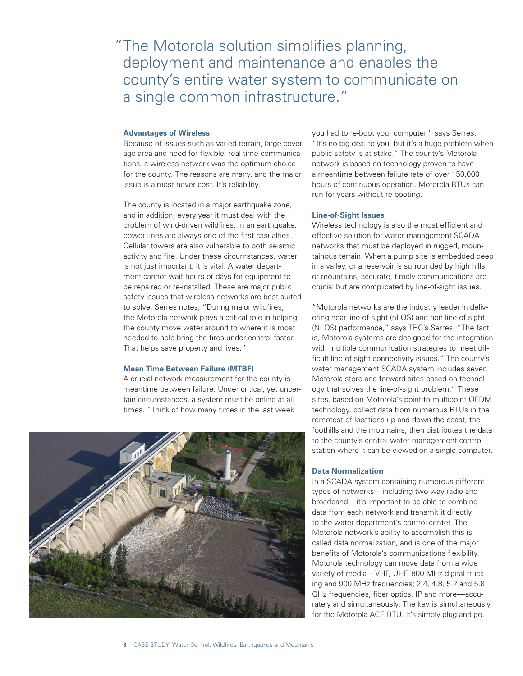#### **Advantages of Wireless**

Because of issues such as varied terrain, large coverage area and need for flexible, real-time communications, a wireless network was the optimum choice for the county. The reasons are many, and the major issue is almost never cost. It's reliability.

The county is located in a major earthquake zone, and in addition, every year it must deal with the problem of wind-driven wildfires. In an earthquake, power lines are always one of the first casualties. Cellular towers are also vulnerable to both seismic activity and fire. Under these circumstances, water is not just important, it is vital. A water department cannot wait hours or days for equipment to be repaired or re-installed. These are major public safety issues that wireless networks are best suited to solve. Serres notes, "During major wildfires, the Motorola network plays a critical role in helping the county move water around to where it is most needed to help bring the fires under control faster. That helps save property and lives."

#### **Mean Time Between Failure (MTBF)**

A crucial network measurement for the county is meantime between failure. Under critical, yet uncertain circumstances, a system must be online at all times. "Think of how many times in the last week



you had to re-boot your computer," says Serres. "It's no big deal to you, but it's a huge problem when public safety is at stake." The county's Motorola network is based on technology proven to have a meantime between failure rate of over 150,000 hours of continuous operation. Motorola RTUs can run for years without re-booting.

#### **Line-of-Sight Issues**

Wireless technology is also the most efficient and effective solution for water management SCADA networks that must be deployed in rugged, mountainous terrain. When a pump site is embedded deep in a valley, or a reservoir is surrounded by high hills or mountains, accurate, timely communications are crucial but are complicated by line-of-sight issues.

"Motorola networks are the industry leader in delivering near-line-of-sight (nLOS) and non-line-of-sight (NLOS) performance," says TRC's Serres. "The fact is, Motorola systems are designed for the integration with multiple communication strategies to meet difficult line of sight connectivity issues." The county's water management SCADA system includes seven Motorola store-and-forward sites based on technology that solves the line-of-sight problem." These sites, based on Motorola's point-to-multipoint OFDM technology, collect data from numerous RTUs in the remotest of locations up and down the coast, the foothills and the mountains, then distributes the data to the county's central water management control station where it can be viewed on a single computer.

#### **Data Normalization**

In a SCADA system containing numerous different types of networks—including two-way radio and broadband—it's important to be able to combine data from each network and transmit it directly to the water department's control center. The Motorola network's ability to accomplish this is called data normalization, and is one of the major benefits of Motorola's communications flexibility. Motorola technology can move data from a wide variety of media—VHF, UHF, 800 MHz digital trucking and 900 MHz frequencies; 2.4, 4.8, 5.2 and 5.8 GHz frequencies, fiber optics, IP and more—accurately and simultaneously. The key is simultaneously for the Motorola ACE RTU. It's simply plug and go.